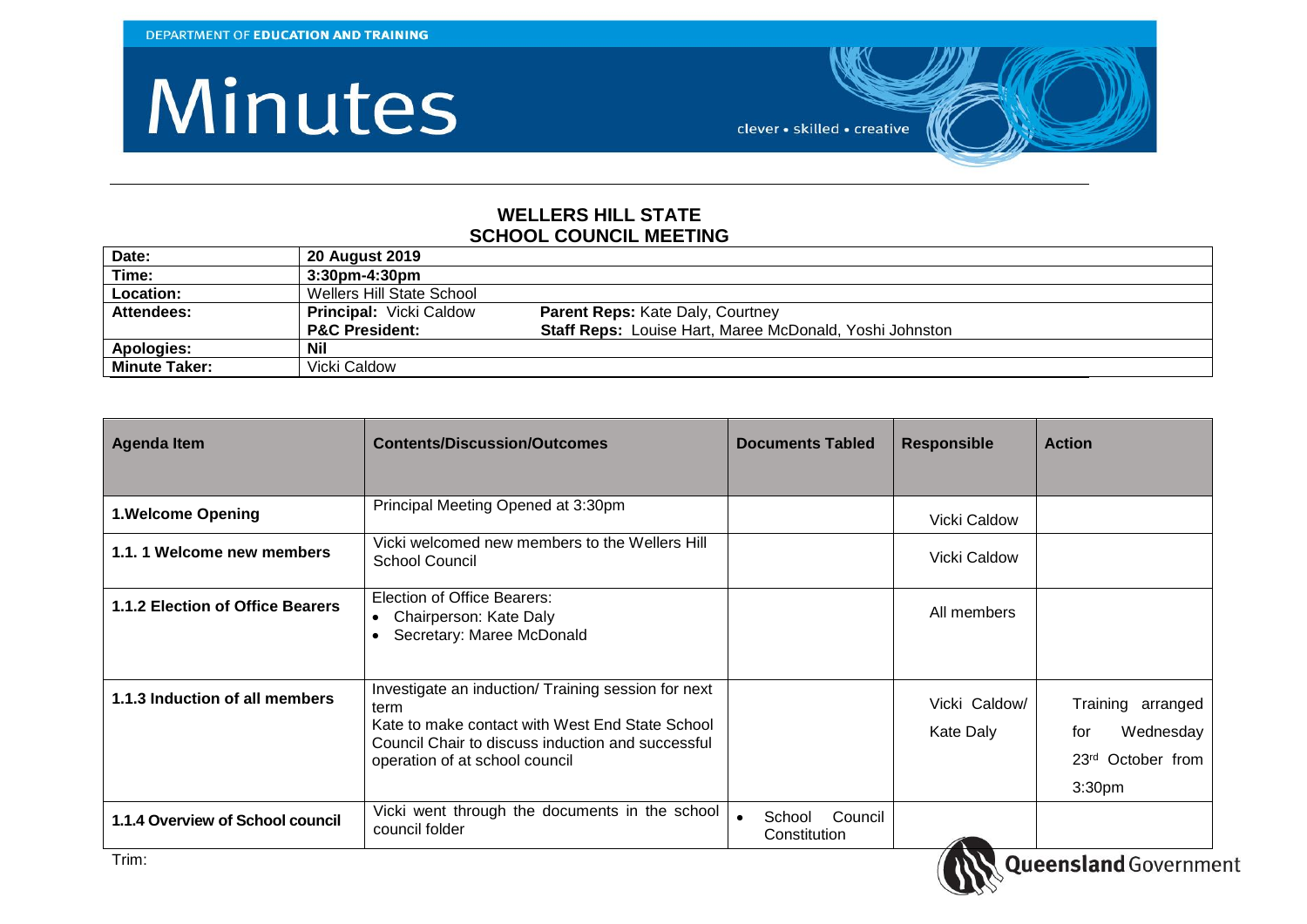## Minutes



## **WELLERS HILL STATE SCHOOL COUNCIL MEETING**

| Date:                | <b>20 August 2019</b>          |                                                         |
|----------------------|--------------------------------|---------------------------------------------------------|
| Time:                | 3:30pm-4:30pm                  |                                                         |
| Location:            | Wellers Hill State School      |                                                         |
| Attendees:           | <b>Principal:</b> Vicki Caldow | <b>Parent Reps: Kate Daly, Courtney</b>                 |
|                      | <b>P&amp;C President:</b>      | Staff Reps: Louise Hart, Maree McDonald, Yoshi Johnston |
| Apologies:           | Nil                            |                                                         |
| <b>Minute Taker:</b> | Vicki Caldow                   |                                                         |

| <b>Contents/Discussion/Outcomes</b><br><b>Agenda Item</b> |                                                                                                                                                                                                       | <b>Documents Tabled</b>           | <b>Responsible</b>         | <b>Action</b>                                                                                |
|-----------------------------------------------------------|-------------------------------------------------------------------------------------------------------------------------------------------------------------------------------------------------------|-----------------------------------|----------------------------|----------------------------------------------------------------------------------------------|
|                                                           |                                                                                                                                                                                                       |                                   |                            |                                                                                              |
| <b>1.Welcome Opening</b>                                  | Principal Meeting Opened at 3:30pm                                                                                                                                                                    |                                   | Vicki Caldow               |                                                                                              |
| 1.1.1 Welcome new members                                 | Vicki welcomed new members to the Wellers Hill<br>School Council                                                                                                                                      |                                   | Vicki Caldow               |                                                                                              |
| 1.1.2 Election of Office Bearers                          | Election of Office Bearers:<br>Chairperson: Kate Daly<br>$\bullet$<br>Secretary: Maree McDonald<br>$\bullet$                                                                                          |                                   | All members                |                                                                                              |
| 1.1.3 Induction of all members                            | Investigate an induction/ Training session for next<br>term<br>Kate to make contact with West End State School<br>Council Chair to discuss induction and successful<br>operation of at school council |                                   | Vicki Caldow/<br>Kate Daly | Training arranged<br>Wednesday<br>for<br>23 <sup>rd</sup> October from<br>3:30 <sub>pm</sub> |
| 1.1.4 Overview of School council                          | Vicki went through the documents in the school<br>council folder                                                                                                                                      | Council<br>School<br>Constitution |                            |                                                                                              |

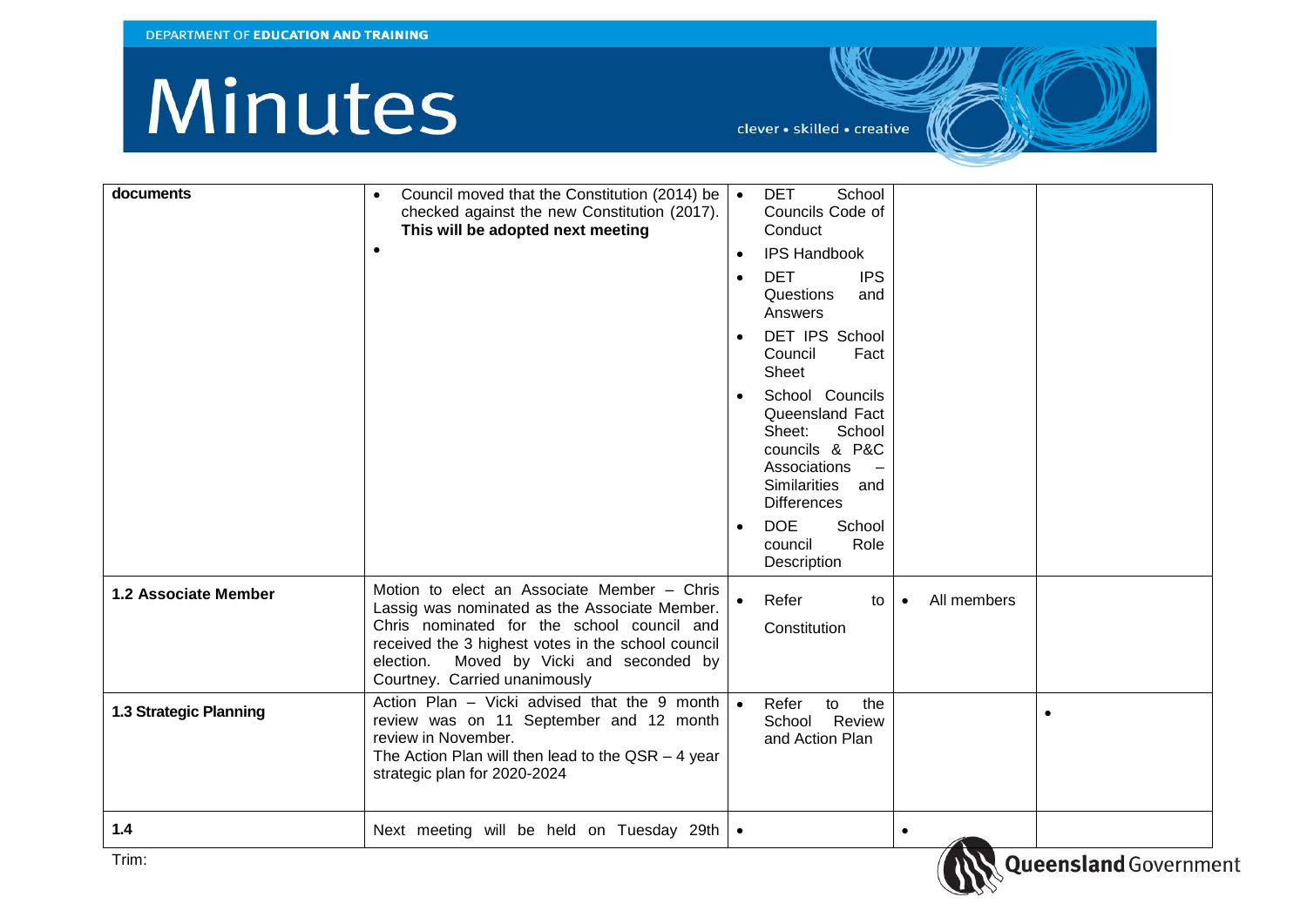## Minutes

clever · skilled · creative

| documents              | Council moved that the Constitution (2014) be $\vert \bullet \vert$<br>$\bullet$<br>checked against the new Constitution (2017).<br>This will be adopted next meeting<br>$\bullet$                                                                                               | School<br><b>DET</b><br>Councils Code of<br>Conduct<br><b>IPS Handbook</b><br>$\bullet$<br><b>IPS</b><br><b>DET</b><br>$\bullet$<br>Questions<br>and<br>Answers<br>DET IPS School<br>$\bullet$<br>Council<br>Fact<br>Sheet<br>School Councils<br>$\bullet$<br>Queensland Fact<br>School<br>Sheet:<br>councils & P&C<br>Associations<br><b>Similarities</b><br>and<br><b>Differences</b><br><b>DOE</b><br>School<br>$\bullet$<br>Role<br>council<br>Description |
|------------------------|----------------------------------------------------------------------------------------------------------------------------------------------------------------------------------------------------------------------------------------------------------------------------------|----------------------------------------------------------------------------------------------------------------------------------------------------------------------------------------------------------------------------------------------------------------------------------------------------------------------------------------------------------------------------------------------------------------------------------------------------------------|
| 1.2 Associate Member   | Motion to elect an Associate Member - Chris<br>Lassig was nominated as the Associate Member.<br>Chris nominated for the school council and<br>received the 3 highest votes in the school council<br>Moved by Vicki and seconded by<br>election.<br>Courtney. Carried unanimously | All members<br>Refer<br>to<br>$\bullet$<br>Constitution                                                                                                                                                                                                                                                                                                                                                                                                        |
| 1.3 Strategic Planning | Action Plan – Vicki advised that the 9 month $\bullet$<br>review was on 11 September and 12 month<br>review in November.<br>The Action Plan will then lead to the $QSR - 4$ year<br>strategic plan for 2020-2024                                                                 | Refer<br>to<br>the<br>$\bullet$<br>Review<br>School<br>and Action Plan                                                                                                                                                                                                                                                                                                                                                                                         |
| $1.4$<br>Trim.         | Next meeting will be held on Tuesday 29th   •                                                                                                                                                                                                                                    | $\bullet$<br>$-1-1$                                                                                                                                                                                                                                                                                                                                                                                                                                            |